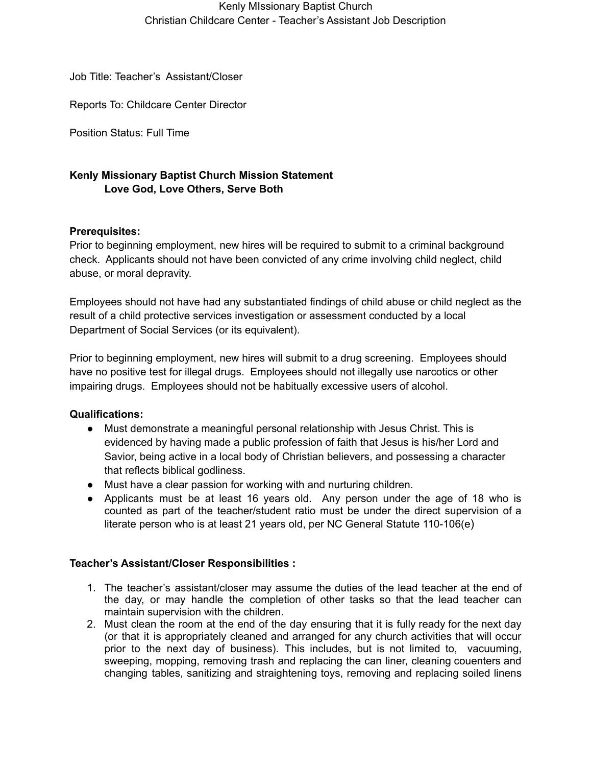## Kenly MIssionary Baptist Church Christian Childcare Center - Teacher's Assistant Job Description

Job Title: Teacher's Assistant/Closer

Reports To: Childcare Center Director

Position Status: Full Time

# **Kenly Missionary Baptist Church Mission Statement Love God, Love Others, Serve Both**

### **Prerequisites:**

Prior to beginning employment, new hires will be required to submit to a criminal background check. Applicants should not have been convicted of any crime involving child neglect, child abuse, or moral depravity.

Employees should not have had any substantiated findings of child abuse or child neglect as the result of a child protective services investigation or assessment conducted by a local Department of Social Services (or its equivalent).

Prior to beginning employment, new hires will submit to a drug screening. Employees should have no positive test for illegal drugs. Employees should not illegally use narcotics or other impairing drugs. Employees should not be habitually excessive users of alcohol.

### **Qualifications:**

- **●** Must demonstrate a meaningful personal relationship with Jesus Christ. This is evidenced by having made a public profession of faith that Jesus is his/her Lord and Savior, being active in a local body of Christian believers, and possessing a character that reflects biblical godliness.
- Must have a clear passion for working with and nurturing children.
- Applicants must be at least 16 years old. Any person under the age of 18 who is counted as part of the teacher/student ratio must be under the direct supervision of a literate person who is at least 21 years old, per NC General Statute 110-106(e)

### **Teacher's Assistant/Closer Responsibilities :**

- 1. The teacher's assistant/closer may assume the duties of the lead teacher at the end of the day, or may handle the completion of other tasks so that the lead teacher can maintain supervision with the children.
- 2. Must clean the room at the end of the day ensuring that it is fully ready for the next day (or that it is appropriately cleaned and arranged for any church activities that will occur prior to the next day of business). This includes, but is not limited to, vacuuming, sweeping, mopping, removing trash and replacing the can liner, cleaning couenters and changing tables, sanitizing and straightening toys, removing and replacing soiled linens